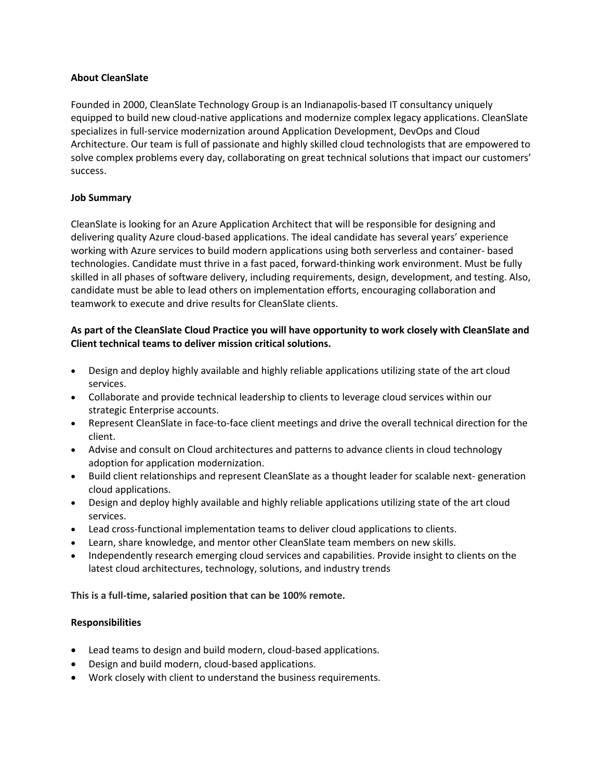#### **About CleanSlate**

Founded in 2000, CleanSlate Technology Group is an Indianapolis-based IT consultancy uniquely equipped to build new cloud-native applications and modernize complex legacy applications. CleanSlate specializes in full-service modernization around Application Development, DevOps and Cloud Architecture. Our team is full of passionate and highly skilled cloud technologists that are empowered to solve complex problems every day, collaborating on great technical solutions that impact our customers' success.

#### **Job Summary**

CleanSlate is looking for an Azure Application Architect that will be responsible for designing and delivering quality Azure cloud-based applications. The ideal candidate has several years' experience working with Azure services to build modern applications using both serverless and container- based technologies. Candidate must thrive in a fast paced, forward-thinking work environment. Must be fully skilled in all phases of software delivery, including requirements, design, development, and testing. Also, candidate must be able to lead others on implementation efforts, encouraging collaboration and teamwork to execute and drive results for CleanSlate clients.

## **As part of the CleanSlate Cloud Practice you will have opportunity to work closely with CleanSlate and Client technical teams to deliver mission critical solutions.**

- Design and deploy highly available and highly reliable applications utilizing state of the art cloud services.
- Collaborate and provide technical leadership to clients to leverage cloud services within our strategic Enterprise accounts.
- Represent CleanSlate in face-to-face client meetings and drive the overall technical direction for the client.
- Advise and consult on Cloud architectures and patterns to advance clients in cloud technology adoption for application modernization.
- Build client relationships and represent CleanSlate as a thought leader for scalable next- generation cloud applications.
- Design and deploy highly available and highly reliable applications utilizing state of the art cloud services.
- Lead cross-functional implementation teams to deliver cloud applications to clients.
- Learn, share knowledge, and mentor other CleanSlate team members on new skills.
- Independently research emerging cloud services and capabilities. Provide insight to clients on the latest cloud architectures, technology, solutions, and industry trends

**This is a full-time, salaried position that can be 100% remote.** 

## **Responsibilities**

- Lead teams to design and build modern, cloud-based applications.
- Design and build modern, cloud-based applications.
- Work closely with client to understand the business requirements.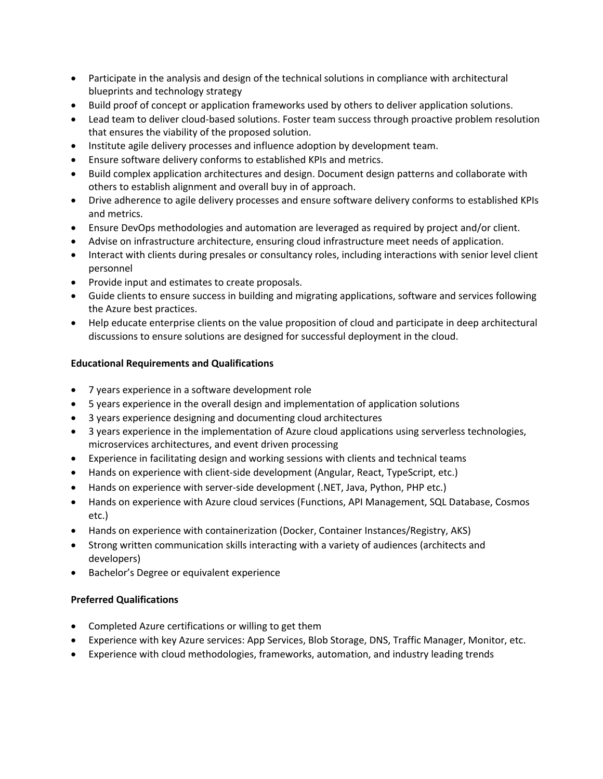- Participate in the analysis and design of the technical solutions in compliance with architectural blueprints and technology strategy
- Build proof of concept or application frameworks used by others to deliver application solutions.
- Lead team to deliver cloud-based solutions. Foster team success through proactive problem resolution that ensures the viability of the proposed solution.
- Institute agile delivery processes and influence adoption by development team.
- Ensure software delivery conforms to established KPIs and metrics.
- Build complex application architectures and design. Document design patterns and collaborate with others to establish alignment and overall buy in of approach.
- Drive adherence to agile delivery processes and ensure software delivery conforms to established KPIs and metrics.
- Ensure DevOps methodologies and automation are leveraged as required by project and/or client.
- Advise on infrastructure architecture, ensuring cloud infrastructure meet needs of application.
- Interact with clients during presales or consultancy roles, including interactions with senior level client personnel
- Provide input and estimates to create proposals.
- Guide clients to ensure success in building and migrating applications, software and services following the Azure best practices.
- Help educate enterprise clients on the value proposition of cloud and participate in deep architectural discussions to ensure solutions are designed for successful deployment in the cloud.

## **Educational Requirements and Qualifications**

- 7 years experience in a software development role
- 5 years experience in the overall design and implementation of application solutions
- 3 years experience designing and documenting cloud architectures
- 3 years experience in the implementation of Azure cloud applications using serverless technologies, microservices architectures, and event driven processing
- Experience in facilitating design and working sessions with clients and technical teams
- Hands on experience with client-side development (Angular, React, TypeScript, etc.)
- Hands on experience with server-side development (.NET, Java, Python, PHP etc.)
- Hands on experience with Azure cloud services (Functions, API Management, SQL Database, Cosmos etc.)
- Hands on experience with containerization (Docker, Container Instances/Registry, AKS)
- Strong written communication skills interacting with a variety of audiences (architects and developers)
- Bachelor's Degree or equivalent experience

#### **Preferred Qualifications**

- Completed Azure certifications or willing to get them
- Experience with key Azure services: App Services, Blob Storage, DNS, Traffic Manager, Monitor, etc.
- Experience with cloud methodologies, frameworks, automation, and industry leading trends